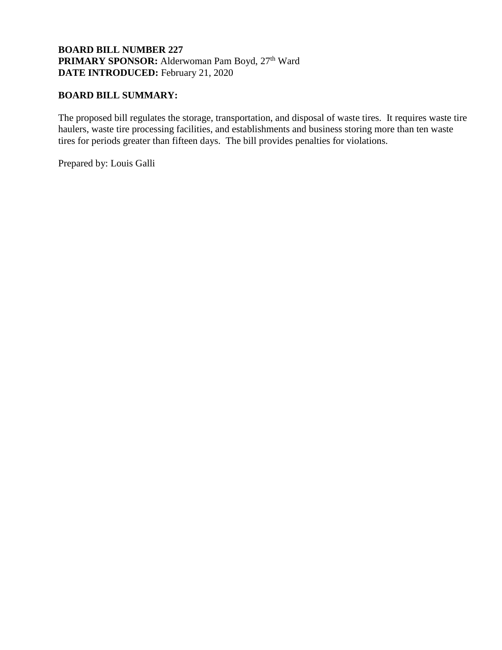## **BOARD BILL NUMBER 227** PRIMARY SPONSOR: Alderwoman Pam Boyd, 27<sup>th</sup> Ward DATE **INTRODUCED:** February 21, 2020

# **BOARD BILL SUMMARY:**

The proposed bill regulates the storage, transportation, and disposal of waste tires. It requires waste tire haulers, waste tire processing facilities, and establishments and business storing more than ten waste tires for periods greater than fifteen days. The bill provides penalties for violations.

Prepared by: Louis Galli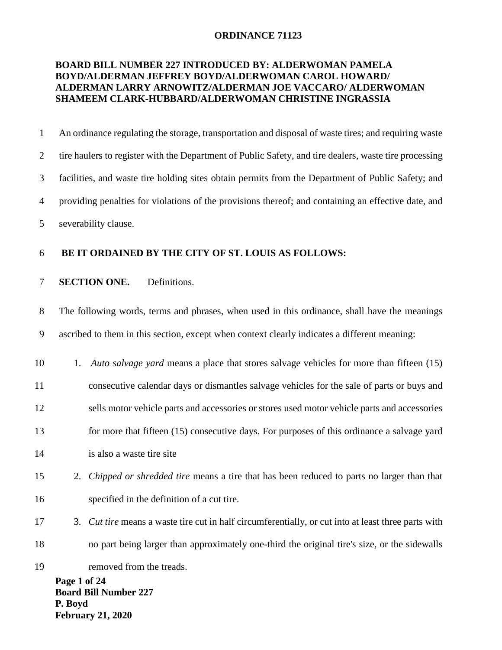## **BOARD BILL NUMBER 227 INTRODUCED BY: ALDERWOMAN PAMELA BOYD/ALDERMAN JEFFREY BOYD/ALDERWOMAN CAROL HOWARD/ ALDERMAN LARRY ARNOWITZ/ALDERMAN JOE VACCARO/ ALDERWOMAN SHAMEEM CLARK-HUBBARD/ALDERWOMAN CHRISTINE INGRASSIA**

| $\mathbf{1}$   | An ordinance regulating the storage, transportation and disposal of waste tires; and requiring waste   |
|----------------|--------------------------------------------------------------------------------------------------------|
| $\overline{2}$ | tire haulers to register with the Department of Public Safety, and tire dealers, waste tire processing |
| 3              | facilities, and waste tire holding sites obtain permits from the Department of Public Safety; and      |
| 4              | providing penalties for violations of the provisions thereof; and containing an effective date, and    |
| 5              | severability clause.                                                                                   |
| 6              | BE IT ORDAINED BY THE CITY OF ST. LOUIS AS FOLLOWS:                                                    |
| 7              | <b>SECTION ONE.</b><br>Definitions.                                                                    |
| $8\phantom{.}$ | The following words, terms and phrases, when used in this ordinance, shall have the meanings           |
| 9              | ascribed to them in this section, except when context clearly indicates a different meaning:           |
| 10             | Auto salvage yard means a place that stores salvage vehicles for more than fifteen (15)<br>1.          |
| 11             | consecutive calendar days or dismantles salvage vehicles for the sale of parts or buys and             |
| 12             | sells motor vehicle parts and accessories or stores used motor vehicle parts and accessories           |
| 13             | for more that fifteen (15) consecutive days. For purposes of this ordinance a salvage yard             |
| 14             | is also a waste tire site                                                                              |
| 15             | 2. Chipped or shredded tire means a tire that has been reduced to parts no larger than that            |
| 16             | specified in the definition of a cut tire.                                                             |
| 17             | Cut tire means a waste tire cut in half circumferentially, or cut into at least three parts with<br>3. |
| 18             | no part being larger than approximately one-third the original tire's size, or the sidewalls           |
| 19             | removed from the treads.<br>Page 1 of 24<br><b>Board Bill Number 227</b><br>P. Boyd                    |
|                | <b>February 21, 2020</b>                                                                               |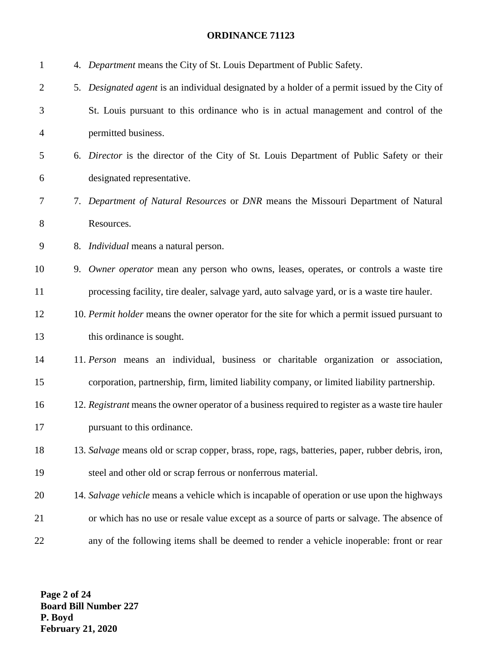| $\mathbf{1}$   | 4. Department means the City of St. Louis Department of Public Safety.                            |
|----------------|---------------------------------------------------------------------------------------------------|
| $\overline{2}$ | 5. Designated agent is an individual designated by a holder of a permit issued by the City of     |
| 3              | St. Louis pursuant to this ordinance who is in actual management and control of the               |
| 4              | permitted business.                                                                               |
| 5              | 6. Director is the director of the City of St. Louis Department of Public Safety or their         |
| 6              | designated representative.                                                                        |
| 7              | 7. Department of Natural Resources or DNR means the Missouri Department of Natural                |
| 8              | Resources.                                                                                        |
| 9              | 8. <i>Individual</i> means a natural person.                                                      |
| 10             | 9. Owner operator mean any person who owns, leases, operates, or controls a waste tire            |
| 11             | processing facility, tire dealer, salvage yard, auto salvage yard, or is a waste tire hauler.     |
| 12             | 10. Permit holder means the owner operator for the site for which a permit issued pursuant to     |
| 13             | this ordinance is sought.                                                                         |
| 14             | 11. Person means an individual, business or charitable organization or association,               |
| 15             | corporation, partnership, firm, limited liability company, or limited liability partnership.      |
| 16             | 12. Registrant means the owner operator of a business required to register as a waste tire hauler |
| 17             | pursuant to this ordinance.                                                                       |
| 18             | 13. Salvage means old or scrap copper, brass, rope, rags, batteries, paper, rubber debris, iron,  |
| 19             | steel and other old or scrap ferrous or nonferrous material.                                      |
| 20             | 14. Salvage vehicle means a vehicle which is incapable of operation or use upon the highways      |
| 21             | or which has no use or resale value except as a source of parts or salvage. The absence of        |
| 22             | any of the following items shall be deemed to render a vehicle inoperable: front or rear          |

**Page 2 of 24 Board Bill Number 227 P. Boyd February 21, 2020**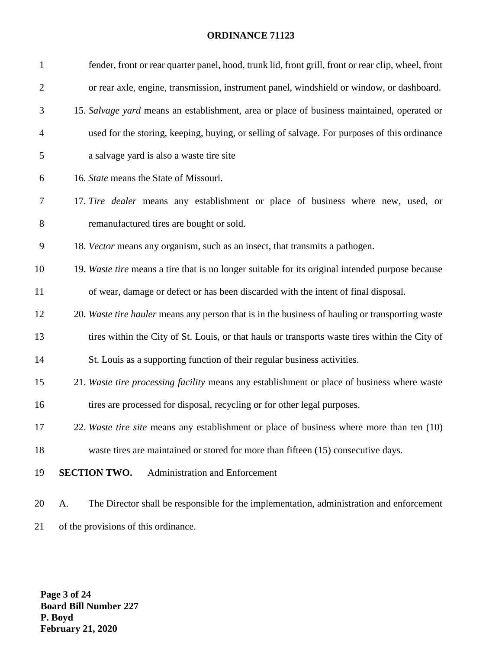| $\mathbf{1}$   | fender, front or rear quarter panel, hood, trunk lid, front grill, front or rear clip, wheel, front |
|----------------|-----------------------------------------------------------------------------------------------------|
| $\overline{c}$ | or rear axle, engine, transmission, instrument panel, windshield or window, or dashboard.           |
| 3              | 15. Salvage yard means an establishment, area or place of business maintained, operated or          |
| $\overline{4}$ | used for the storing, keeping, buying, or selling of salvage. For purposes of this ordinance        |
| 5              | a salvage yard is also a waste tire site                                                            |
| 6              | 16. State means the State of Missouri.                                                              |
| 7              | 17. Tire dealer means any establishment or place of business where new, used, or                    |
| 8              | remanufactured tires are bought or sold.                                                            |
| 9              | 18. Vector means any organism, such as an insect, that transmits a pathogen.                        |
| 10             | 19. Waste tire means a tire that is no longer suitable for its original intended purpose because    |
| 11             | of wear, damage or defect or has been discarded with the intent of final disposal.                  |
| 12             | 20. Waste tire hauler means any person that is in the business of hauling or transporting waste     |
| 13             | tires within the City of St. Louis, or that hauls or transports waste tires within the City of      |
| 14             | St. Louis as a supporting function of their regular business activities.                            |
| 15             | 21. Waste tire processing facility means any establishment or place of business where waste         |
| 16             | tires are processed for disposal, recycling or for other legal purposes.                            |
| 17             | 22. Waste tire site means any establishment or place of business where more than ten (10)           |
| 18             | waste tires are maintained or stored for more than fifteen (15) consecutive days.                   |
| 19             | <b>SECTION TWO.</b><br>Administration and Enforcement                                               |
| 20             | The Director shall be responsible for the implementation, administration and enforcement<br>A.      |
| 21             | of the provisions of this ordinance.                                                                |

**Page 3 of 24 Board Bill Number 227 P. Boyd February 21, 2020**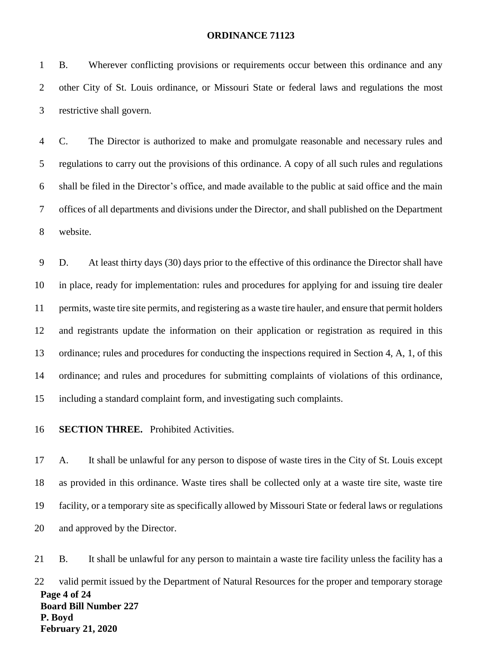B. Wherever conflicting provisions or requirements occur between this ordinance and any other City of St. Louis ordinance, or Missouri State or federal laws and regulations the most restrictive shall govern.

 C. The Director is authorized to make and promulgate reasonable and necessary rules and regulations to carry out the provisions of this ordinance. A copy of all such rules and regulations shall be filed in the Director's office, and made available to the public at said office and the main offices of all departments and divisions under the Director, and shall published on the Department website.

 D. At least thirty days (30) days prior to the effective of this ordinance the Director shall have in place, ready for implementation: rules and procedures for applying for and issuing tire dealer permits, waste tire site permits, and registering as a waste tire hauler, and ensure that permit holders and registrants update the information on their application or registration as required in this ordinance; rules and procedures for conducting the inspections required in Section 4, A, 1, of this ordinance; and rules and procedures for submitting complaints of violations of this ordinance, including a standard complaint form, and investigating such complaints.

**SECTION THREE.** Prohibited Activities.

 A. It shall be unlawful for any person to dispose of waste tires in the City of St. Louis except as provided in this ordinance. Waste tires shall be collected only at a waste tire site, waste tire facility, or a temporary site as specifically allowed by Missouri State or federal laws or regulations and approved by the Director.

**Page 4 of 24 Board Bill Number 227 P. Boyd February 21, 2020** B. It shall be unlawful for any person to maintain a waste tire facility unless the facility has a 22 valid permit issued by the Department of Natural Resources for the proper and temporary storage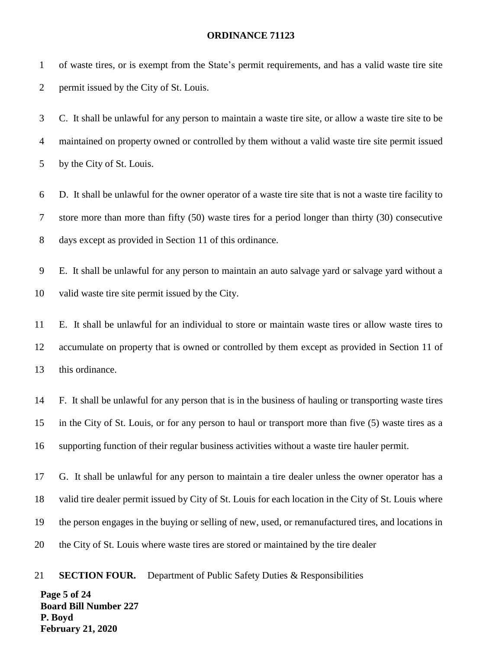of waste tires, or is exempt from the State's permit requirements, and has a valid waste tire site permit issued by the City of St. Louis.

 C. It shall be unlawful for any person to maintain a waste tire site, or allow a waste tire site to be maintained on property owned or controlled by them without a valid waste tire site permit issued by the City of St. Louis.

 D. It shall be unlawful for the owner operator of a waste tire site that is not a waste tire facility to store more than more than fifty (50) waste tires for a period longer than thirty (30) consecutive days except as provided in Section 11 of this ordinance.

 E. It shall be unlawful for any person to maintain an auto salvage yard or salvage yard without a valid waste tire site permit issued by the City.

 E. It shall be unlawful for an individual to store or maintain waste tires or allow waste tires to accumulate on property that is owned or controlled by them except as provided in Section 11 of this ordinance.

 F. It shall be unlawful for any person that is in the business of hauling or transporting waste tires in the City of St. Louis, or for any person to haul or transport more than five (5) waste tires as a supporting function of their regular business activities without a waste tire hauler permit.

 G. It shall be unlawful for any person to maintain a tire dealer unless the owner operator has a valid tire dealer permit issued by City of St. Louis for each location in the City of St. Louis where the person engages in the buying or selling of new, used, or remanufactured tires, and locations in 20 the City of St. Louis where waste tires are stored or maintained by the tire dealer

## **SECTION FOUR.** Department of Public Safety Duties & Responsibilities

**Page 5 of 24 Board Bill Number 227 P. Boyd February 21, 2020**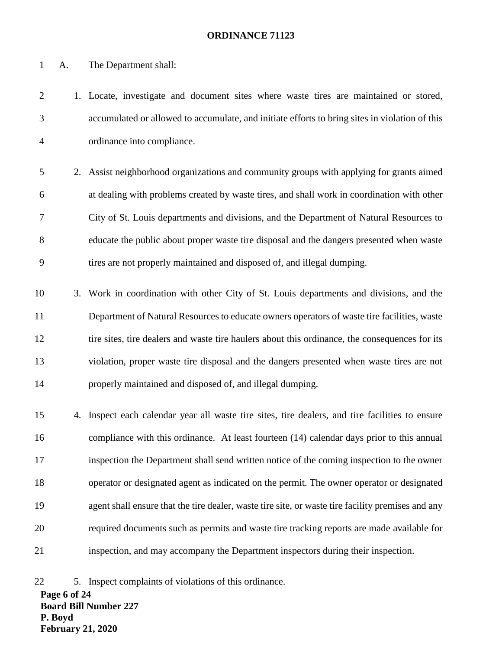A. The Department shall:

 1. Locate, investigate and document sites where waste tires are maintained or stored, accumulated or allowed to accumulate, and initiate efforts to bring sites in violation of this ordinance into compliance.

 2. Assist neighborhood organizations and community groups with applying for grants aimed at dealing with problems created by waste tires, and shall work in coordination with other City of St. Louis departments and divisions, and the Department of Natural Resources to educate the public about proper waste tire disposal and the dangers presented when waste tires are not properly maintained and disposed of, and illegal dumping.

 3. Work in coordination with other City of St. Louis departments and divisions, and the Department of Natural Resources to educate owners operators of waste tire facilities, waste 12 tire sites, tire dealers and waste tire haulers about this ordinance, the consequences for its violation, proper waste tire disposal and the dangers presented when waste tires are not properly maintained and disposed of, and illegal dumping.

 4. Inspect each calendar year all waste tire sites, tire dealers, and tire facilities to ensure compliance with this ordinance. At least fourteen (14) calendar days prior to this annual inspection the Department shall send written notice of the coming inspection to the owner operator or designated agent as indicated on the permit. The owner operator or designated agent shall ensure that the tire dealer, waste tire site, or waste tire facility premises and any required documents such as permits and waste tire tracking reports are made available for inspection, and may accompany the Department inspectors during their inspection.

5. Inspect complaints of violations of this ordinance.

**Page 6 of 24 Board Bill Number 227 P. Boyd February 21, 2020**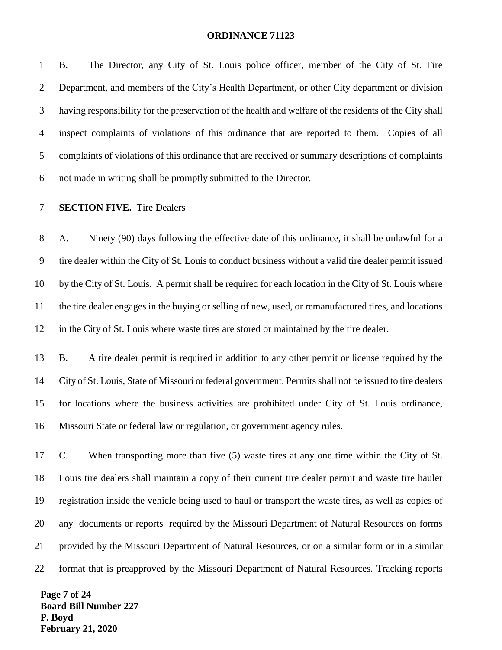B. The Director, any City of St. Louis police officer, member of the City of St. Fire Department, and members of the City's Health Department, or other City department or division having responsibility for the preservation of the health and welfare of the residents of the City shall inspect complaints of violations of this ordinance that are reported to them. Copies of all complaints of violations of this ordinance that are received or summary descriptions of complaints not made in writing shall be promptly submitted to the Director.

### **SECTION FIVE.** Tire Dealers

 A. Ninety (90) days following the effective date of this ordinance, it shall be unlawful for a tire dealer within the City of St. Louis to conduct business without a valid tire dealer permit issued by the City of St. Louis. A permit shall be required for each location in the City of St. Louis where the tire dealer engages in the buying or selling of new, used, or remanufactured tires, and locations in the City of St. Louis where waste tires are stored or maintained by the tire dealer.

 B. A tire dealer permit is required in addition to any other permit or license required by the City of St. Louis, State of Missouri or federal government. Permits shall not be issued to tire dealers for locations where the business activities are prohibited under City of St. Louis ordinance, Missouri State or federal law or regulation, or government agency rules.

 C. When transporting more than five (5) waste tires at any one time within the City of St. Louis tire dealers shall maintain a copy of their current tire dealer permit and waste tire hauler registration inside the vehicle being used to haul or transport the waste tires, as well as copies of any documents or reports required by the Missouri Department of Natural Resources on forms provided by the Missouri Department of Natural Resources, or on a similar form or in a similar format that is preapproved by the Missouri Department of Natural Resources. Tracking reports

**Page 7 of 24 Board Bill Number 227 P. Boyd February 21, 2020**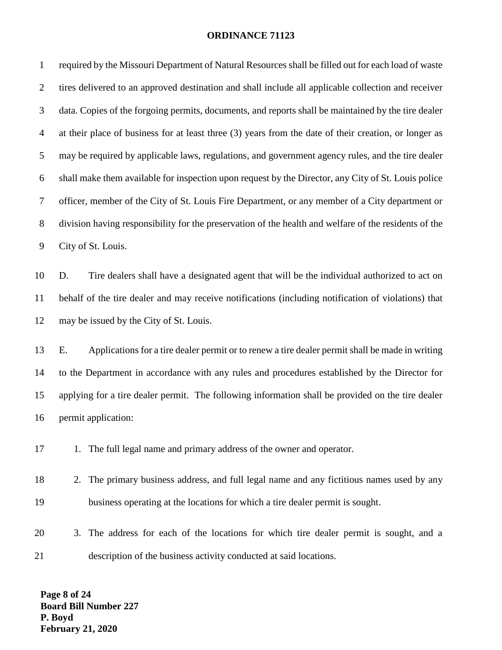required by the Missouri Department of Natural Resources shall be filled out for each load of waste tires delivered to an approved destination and shall include all applicable collection and receiver data. Copies of the forgoing permits, documents, and reports shall be maintained by the tire dealer at their place of business for at least three (3) years from the date of their creation, or longer as may be required by applicable laws, regulations, and government agency rules, and the tire dealer shall make them available for inspection upon request by the Director, any City of St. Louis police officer, member of the City of St. Louis Fire Department, or any member of a City department or division having responsibility for the preservation of the health and welfare of the residents of the City of St. Louis.

 D. Tire dealers shall have a designated agent that will be the individual authorized to act on behalf of the tire dealer and may receive notifications (including notification of violations) that may be issued by the City of St. Louis.

 E. Applications for a tire dealer permit or to renew a tire dealer permit shall be made in writing to the Department in accordance with any rules and procedures established by the Director for applying for a tire dealer permit. The following information shall be provided on the tire dealer permit application:

1. The full legal name and primary address of the owner and operator.

- 2. The primary business address, and full legal name and any fictitious names used by any business operating at the locations for which a tire dealer permit is sought.
- 3. The address for each of the locations for which tire dealer permit is sought, and a description of the business activity conducted at said locations.

**Page 8 of 24 Board Bill Number 227 P. Boyd February 21, 2020**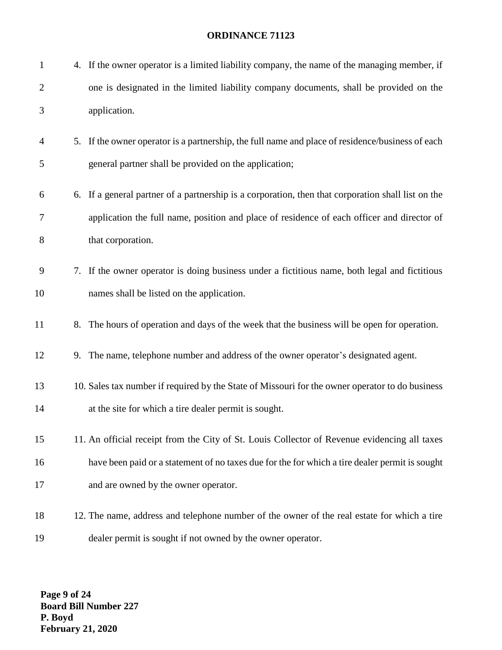| $\mathbf{1}$   | 4. If the owner operator is a limited liability company, the name of the managing member, if       |
|----------------|----------------------------------------------------------------------------------------------------|
| $\overline{2}$ | one is designated in the limited liability company documents, shall be provided on the             |
| 3              | application.                                                                                       |
| 4              | 5. If the owner operator is a partnership, the full name and place of residence/business of each   |
| 5              | general partner shall be provided on the application;                                              |
| 6              | 6. If a general partner of a partnership is a corporation, then that corporation shall list on the |
| 7              | application the full name, position and place of residence of each officer and director of         |
| 8              | that corporation.                                                                                  |
| 9              | 7. If the owner operator is doing business under a fictitious name, both legal and fictitious      |
| 10             | names shall be listed on the application.                                                          |
| 11             | 8. The hours of operation and days of the week that the business will be open for operation.       |
| 12             | 9. The name, telephone number and address of the owner operator's designated agent.                |
| 13             | 10. Sales tax number if required by the State of Missouri for the owner operator to do business    |
| 14             | at the site for which a tire dealer permit is sought.                                              |
| 15             | 11. An official receipt from the City of St. Louis Collector of Revenue evidencing all taxes       |
| 16             | have been paid or a statement of no taxes due for the for which a tire dealer permit is sought     |
| 17             | and are owned by the owner operator.                                                               |
| 18             | 12. The name, address and telephone number of the owner of the real estate for which a tire        |
| 19             | dealer permit is sought if not owned by the owner operator.                                        |

**Page 9 of 24 Board Bill Number 227 P. Boyd February 21, 2020**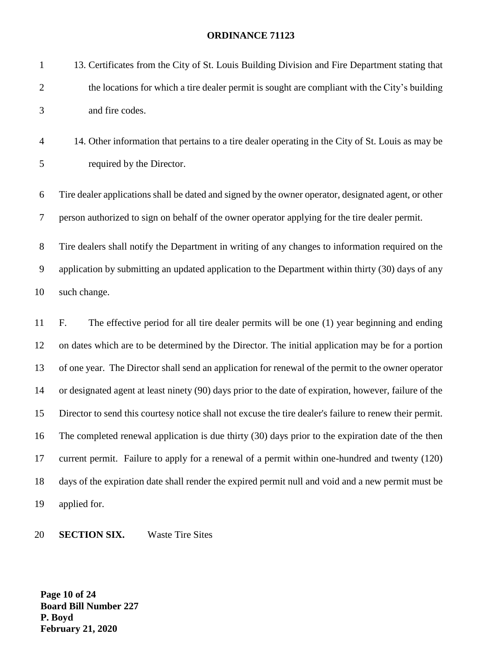| $\mathbf{1}$   | 13. Certificates from the City of St. Louis Building Division and Fire Department stating that          |
|----------------|---------------------------------------------------------------------------------------------------------|
| $\overline{2}$ | the locations for which a tire dealer permit is sought are compliant with the City's building           |
| 3              | and fire codes.                                                                                         |
| 4              | 14. Other information that pertains to a tire dealer operating in the City of St. Louis as may be       |
| 5              | required by the Director.                                                                               |
| 6              | Tire dealer applications shall be dated and signed by the owner operator, designated agent, or other    |
| 7              | person authorized to sign on behalf of the owner operator applying for the tire dealer permit.          |
| $8\,$          | Tire dealers shall notify the Department in writing of any changes to information required on the       |
| 9              | application by submitting an updated application to the Department within thirty (30) days of any       |
| 10             | such change.                                                                                            |
| 11             | The effective period for all tire dealer permits will be one (1) year beginning and ending<br>F.        |
| 12             | on dates which are to be determined by the Director. The initial application may be for a portion       |
| 13             | of one year. The Director shall send an application for renewal of the permit to the owner operator     |
| 14             | or designated agent at least ninety (90) days prior to the date of expiration, however, failure of the  |
| 15             | Director to send this courtesy notice shall not excuse the tire dealer's failure to renew their permit. |
| 16             | The completed renewal application is due thirty (30) days prior to the expiration date of the then      |
| 17             | current permit. Failure to apply for a renewal of a permit within one-hundred and twenty (120)          |
| 18             | days of the expiration date shall render the expired permit null and void and a new permit must be      |
| 19             | applied for.                                                                                            |

**SECTION SIX.** Waste Tire Sites

**Page 10 of 24 Board Bill Number 227 P. Boyd February 21, 2020**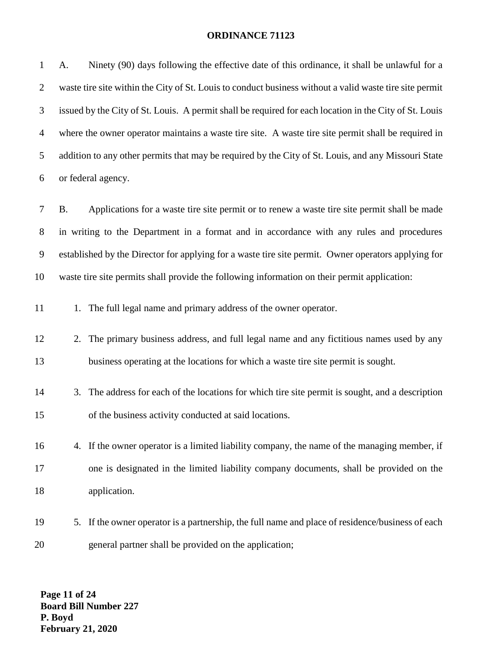| $\mathbf{1}$   | Ninety (90) days following the effective date of this ordinance, it shall be unlawful for a<br>A.         |
|----------------|-----------------------------------------------------------------------------------------------------------|
| $\overline{2}$ | waste tire site within the City of St. Louis to conduct business without a valid waste tire site permit   |
| $\mathfrak{Z}$ | issued by the City of St. Louis. A permit shall be required for each location in the City of St. Louis    |
| $\overline{4}$ | where the owner operator maintains a waste tire site. A waste tire site permit shall be required in       |
| 5              | addition to any other permits that may be required by the City of St. Louis, and any Missouri State       |
| 6              | or federal agency.                                                                                        |
| $\tau$         | Applications for a waste tire site permit or to renew a waste tire site permit shall be made<br><b>B.</b> |
| $8\,$          | in writing to the Department in a format and in accordance with any rules and procedures                  |
| 9              | established by the Director for applying for a waste tire site permit. Owner operators applying for       |
| 10             | waste tire site permits shall provide the following information on their permit application:              |
| 11             | 1. The full legal name and primary address of the owner operator.                                         |
| 12             | 2. The primary business address, and full legal name and any fictitious names used by any                 |
| 13             | business operating at the locations for which a waste tire site permit is sought.                         |
| 14             | The address for each of the locations for which tire site permit is sought, and a description<br>3.       |
| 15             | of the business activity conducted at said locations.                                                     |
| 16             | 4. If the owner operator is a limited liability company, the name of the managing member, if              |
| 17             | one is designated in the limited liability company documents, shall be provided on the                    |
| 18             | application.                                                                                              |
| 19             | 5. If the owner operator is a partnership, the full name and place of residence/business of each          |
| 20             | general partner shall be provided on the application;                                                     |

**Page 11 of 24 Board Bill Number 227 P. Boyd February 21, 2020**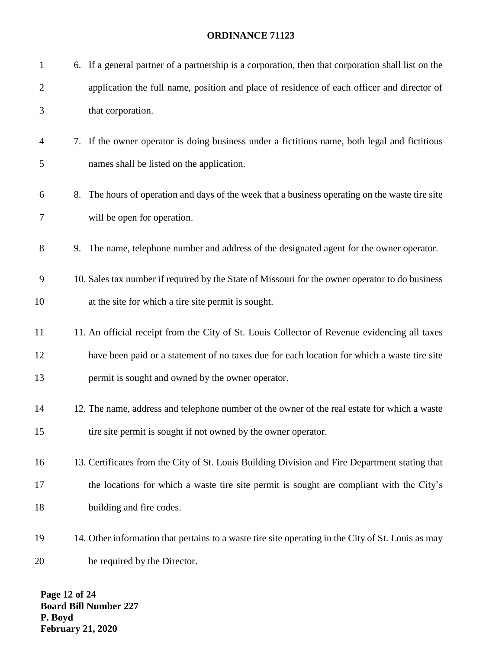| $\mathbf{1}$ | 6. If a general partner of a partnership is a corporation, then that corporation shall list on the |
|--------------|----------------------------------------------------------------------------------------------------|
| 2            | application the full name, position and place of residence of each officer and director of         |
| 3            | that corporation.                                                                                  |
| 4            | 7. If the owner operator is doing business under a fictitious name, both legal and fictitious      |
| 5            | names shall be listed on the application.                                                          |
| 6            | 8. The hours of operation and days of the week that a business operating on the waste tire site    |
| 7            | will be open for operation.                                                                        |
| 8            | 9. The name, telephone number and address of the designated agent for the owner operator.          |
| 9            | 10. Sales tax number if required by the State of Missouri for the owner operator to do business    |
| 10           | at the site for which a tire site permit is sought.                                                |
| 11           | 11. An official receipt from the City of St. Louis Collector of Revenue evidencing all taxes       |
| 12           | have been paid or a statement of no taxes due for each location for which a waste tire site        |
| 13           | permit is sought and owned by the owner operator.                                                  |
| 14           | 12. The name, address and telephone number of the owner of the real estate for which a waste       |
| 15           | tire site permit is sought if not owned by the owner operator.                                     |
| 16           | 13. Certificates from the City of St. Louis Building Division and Fire Department stating that     |
| 17           | the locations for which a waste tire site permit is sought are compliant with the City's           |
| 18           | building and fire codes.                                                                           |
| 19           | 14. Other information that pertains to a waste tire site operating in the City of St. Louis as may |
| 20           | be required by the Director.                                                                       |

**Page 12 of 24 Board Bill Number 227 P. Boyd February 21, 2020**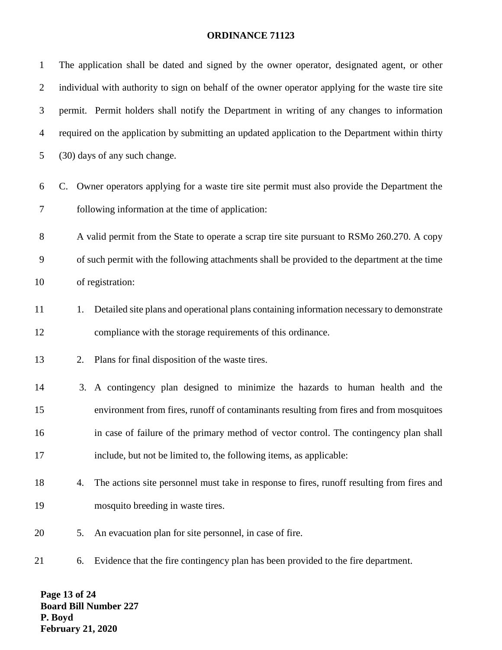| $\mathbf{1}$   | The application shall be dated and signed by the owner operator, designated agent, or other        |                                                                                                  |  |
|----------------|----------------------------------------------------------------------------------------------------|--------------------------------------------------------------------------------------------------|--|
| $\overline{2}$ | individual with authority to sign on behalf of the owner operator applying for the waste tire site |                                                                                                  |  |
| 3              |                                                                                                    | permit. Permit holders shall notify the Department in writing of any changes to information      |  |
| 4              |                                                                                                    | required on the application by submitting an updated application to the Department within thirty |  |
| 5              |                                                                                                    | (30) days of any such change.                                                                    |  |
| 6              |                                                                                                    | C. Owner operators applying for a waste tire site permit must also provide the Department the    |  |
| 7              | following information at the time of application:                                                  |                                                                                                  |  |
| 8              |                                                                                                    | A valid permit from the State to operate a scrap tire site pursuant to RSMo 260.270. A copy      |  |
| 9              |                                                                                                    | of such permit with the following attachments shall be provided to the department at the time    |  |
| 10             |                                                                                                    | of registration:                                                                                 |  |
| 11             | 1.                                                                                                 | Detailed site plans and operational plans containing information necessary to demonstrate        |  |
| 12             |                                                                                                    | compliance with the storage requirements of this ordinance.                                      |  |
| 13             | 2.                                                                                                 | Plans for final disposition of the waste tires.                                                  |  |
| 14             |                                                                                                    | 3. A contingency plan designed to minimize the hazards to human health and the                   |  |
| 15             |                                                                                                    | environment from fires, runoff of contaminants resulting from fires and from mosquitoes          |  |
| 16             |                                                                                                    | in case of failure of the primary method of vector control. The contingency plan shall           |  |
| 17             |                                                                                                    | include, but not be limited to, the following items, as applicable:                              |  |
| 18             | 4.                                                                                                 | The actions site personnel must take in response to fires, runoff resulting from fires and       |  |
| 19             |                                                                                                    | mosquito breeding in waste tires.                                                                |  |
| 20             | 5.                                                                                                 | An evacuation plan for site personnel, in case of fire.                                          |  |
| 21             | 6.                                                                                                 | Evidence that the fire contingency plan has been provided to the fire department.                |  |

**Page 13 of 24 Board Bill Number 227 P. Boyd February 21, 2020**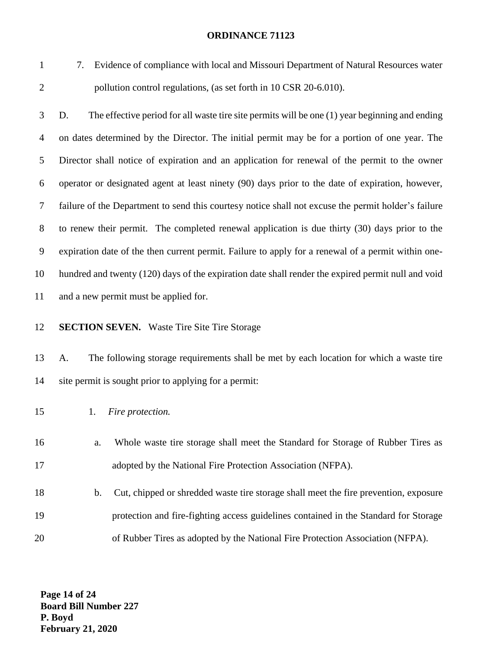7. Evidence of compliance with local and Missouri Department of Natural Resources water pollution control regulations, (as set forth in 10 CSR 20-6.010).

 D. The effective period for all waste tire site permits will be one (1) year beginning and ending on dates determined by the Director. The initial permit may be for a portion of one year. The Director shall notice of expiration and an application for renewal of the permit to the owner operator or designated agent at least ninety (90) days prior to the date of expiration, however, failure of the Department to send this courtesy notice shall not excuse the permit holder's failure to renew their permit. The completed renewal application is due thirty (30) days prior to the expiration date of the then current permit. Failure to apply for a renewal of a permit within one- hundred and twenty (120) days of the expiration date shall render the expired permit null and void and a new permit must be applied for.

## **SECTION SEVEN.** Waste Tire Site Tire Storage

 A. The following storage requirements shall be met by each location for which a waste tire site permit is sought prior to applying for a permit:

- 1. *Fire protection.*
- a. Whole waste tire storage shall meet the Standard for Storage of Rubber Tires as adopted by the National Fire Protection Association (NFPA).
- b. Cut, chipped or shredded waste tire storage shall meet the fire prevention, exposure protection and fire-fighting access guidelines contained in the Standard for Storage of Rubber Tires as adopted by the National Fire Protection Association (NFPA).

**Page 14 of 24 Board Bill Number 227 P. Boyd February 21, 2020**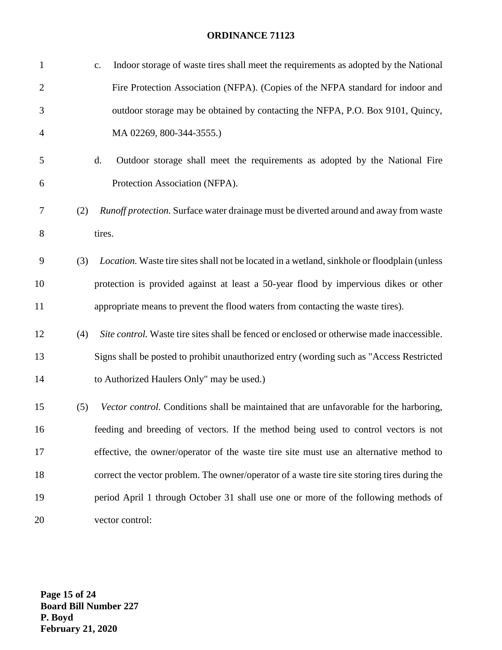| $\mathbf{1}$   |     | Indoor storage of waste tires shall meet the requirements as adopted by the National<br>$\mathbf{c}$ . |
|----------------|-----|--------------------------------------------------------------------------------------------------------|
| $\overline{2}$ |     | Fire Protection Association (NFPA). (Copies of the NFPA standard for indoor and                        |
| 3              |     | outdoor storage may be obtained by contacting the NFPA, P.O. Box 9101, Quincy,                         |
| $\overline{4}$ |     | MA 02269, 800-344-3555.)                                                                               |
| 5              |     | d.<br>Outdoor storage shall meet the requirements as adopted by the National Fire                      |
| 6              |     | Protection Association (NFPA).                                                                         |
| 7              | (2) | Runoff protection. Surface water drainage must be diverted around and away from waste                  |
| 8              |     | tires.                                                                                                 |
| 9              | (3) | <i>Location</i> . Waste tire sites shall not be located in a wetland, sinkhole or floodplain (unless   |
| 10             |     | protection is provided against at least a 50-year flood by impervious dikes or other                   |
| 11             |     | appropriate means to prevent the flood waters from contacting the waste tires).                        |
| 12             | (4) | Site control. Waste tire sites shall be fenced or enclosed or otherwise made inaccessible.             |
| 13             |     | Signs shall be posted to prohibit unauthorized entry (wording such as "Access Restricted               |
| 14             |     | to Authorized Haulers Only" may be used.)                                                              |
| 15             | (5) | Vector control. Conditions shall be maintained that are unfavorable for the harboring,                 |
| 16             |     | feeding and breeding of vectors. If the method being used to control vectors is not                    |
| 17             |     | effective, the owner/operator of the waste tire site must use an alternative method to                 |
| 18             |     | correct the vector problem. The owner/operator of a waste tire site storing tires during the           |
| 19             |     | period April 1 through October 31 shall use one or more of the following methods of                    |
| 20             |     | vector control:                                                                                        |

**Page 15 of 24 Board Bill Number 227 P. Boyd February 21, 2020**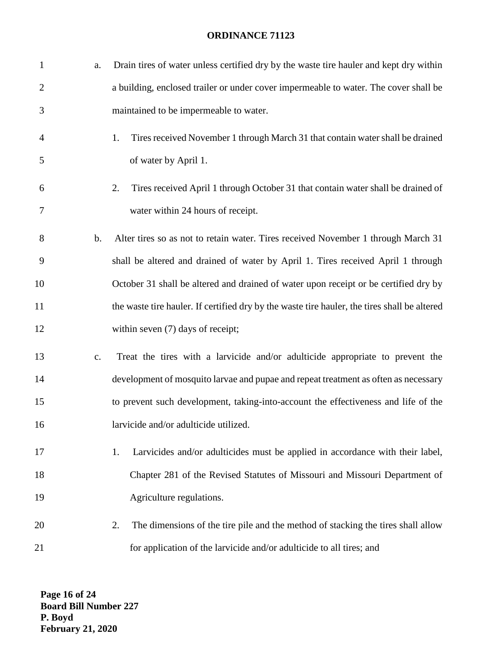| $\mathbf{1}$   | a.             | Drain tires of water unless certified dry by the waste tire hauler and kept dry within       |
|----------------|----------------|----------------------------------------------------------------------------------------------|
| $\overline{c}$ |                | a building, enclosed trailer or under cover impermeable to water. The cover shall be         |
| 3              |                | maintained to be impermeable to water.                                                       |
| $\overline{4}$ |                | Tires received November 1 through March 31 that contain water shall be drained<br>1.         |
| 5              |                | of water by April 1.                                                                         |
| 6              |                | Tires received April 1 through October 31 that contain water shall be drained of<br>2.       |
| 7              |                | water within 24 hours of receipt.                                                            |
| 8              | $\mathbf b$ .  | Alter tires so as not to retain water. Tires received November 1 through March 31            |
| 9              |                | shall be altered and drained of water by April 1. Tires received April 1 through             |
| 10             |                | October 31 shall be altered and drained of water upon receipt or be certified dry by         |
| 11             |                | the waste tire hauler. If certified dry by the waste tire hauler, the tires shall be altered |
| 12             |                | within seven (7) days of receipt;                                                            |
| 13             | $\mathbf{c}$ . | Treat the tires with a larvicide and/or adulticide appropriate to prevent the                |
| 14             |                | development of mosquito larvae and pupae and repeat treatment as often as necessary          |
| 15             |                | to prevent such development, taking-into-account the effectiveness and life of the           |
| 16             |                | larvicide and/or adulticide utilized.                                                        |
| 17             |                | Larvicides and/or adulticides must be applied in accordance with their label,<br>1.          |
| 18             |                | Chapter 281 of the Revised Statutes of Missouri and Missouri Department of                   |
| 19             |                | Agriculture regulations.                                                                     |
| 20             |                | The dimensions of the tire pile and the method of stacking the tires shall allow<br>2.       |
| 21             |                | for application of the larvicide and/or adulticide to all tires; and                         |

**Page 16 of 24 Board Bill Number 227 P. Boyd February 21, 2020**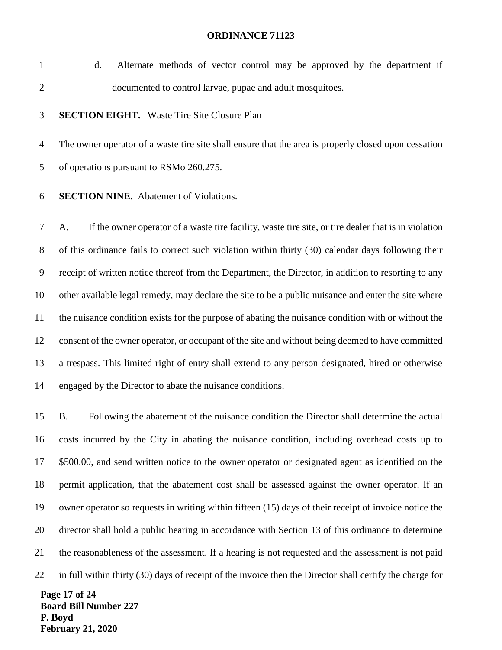d. Alternate methods of vector control may be approved by the department if documented to control larvae, pupae and adult mosquitoes.

**SECTION EIGHT.** Waste Tire Site Closure Plan

 The owner operator of a waste tire site shall ensure that the area is properly closed upon cessation of operations pursuant to RSMo 260.275.

**SECTION NINE.** Abatement of Violations.

 A. If the owner operator of a waste tire facility, waste tire site, or tire dealer that is in violation of this ordinance fails to correct such violation within thirty (30) calendar days following their receipt of written notice thereof from the Department, the Director, in addition to resorting to any other available legal remedy, may declare the site to be a public nuisance and enter the site where the nuisance condition exists for the purpose of abating the nuisance condition with or without the consent of the owner operator, or occupant of the site and without being deemed to have committed a trespass. This limited right of entry shall extend to any person designated, hired or otherwise engaged by the Director to abate the nuisance conditions.

**Page 17 of 24 Board Bill Number 227 P. Boyd**  B. Following the abatement of the nuisance condition the Director shall determine the actual costs incurred by the City in abating the nuisance condition, including overhead costs up to \$500.00, and send written notice to the owner operator or designated agent as identified on the permit application, that the abatement cost shall be assessed against the owner operator. If an owner operator so requests in writing within fifteen (15) days of their receipt of invoice notice the director shall hold a public hearing in accordance with Section 13 of this ordinance to determine the reasonableness of the assessment. If a hearing is not requested and the assessment is not paid in full within thirty (30) days of receipt of the invoice then the Director shall certify the charge for

**February 21, 2020**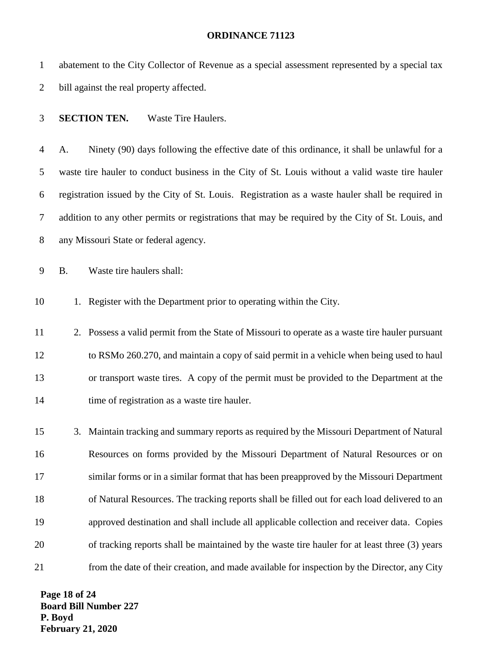abatement to the City Collector of Revenue as a special assessment represented by a special tax bill against the real property affected.

**SECTION TEN.** Waste Tire Haulers.

 A. Ninety (90) days following the effective date of this ordinance, it shall be unlawful for a waste tire hauler to conduct business in the City of St. Louis without a valid waste tire hauler registration issued by the City of St. Louis. Registration as a waste hauler shall be required in addition to any other permits or registrations that may be required by the City of St. Louis, and any Missouri State or federal agency.

B. Waste tire haulers shall:

1. Register with the Department prior to operating within the City.

 2. Possess a valid permit from the State of Missouri to operate as a waste tire hauler pursuant to RSMo 260.270, and maintain a copy of said permit in a vehicle when being used to haul or transport waste tires. A copy of the permit must be provided to the Department at the time of registration as a waste tire hauler.

 3. Maintain tracking and summary reports as required by the Missouri Department of Natural Resources on forms provided by the Missouri Department of Natural Resources or on similar forms or in a similar format that has been preapproved by the Missouri Department of Natural Resources. The tracking reports shall be filled out for each load delivered to an approved destination and shall include all applicable collection and receiver data. Copies of tracking reports shall be maintained by the waste tire hauler for at least three (3) years from the date of their creation, and made available for inspection by the Director, any City

**Page 18 of 24 Board Bill Number 227 P. Boyd February 21, 2020**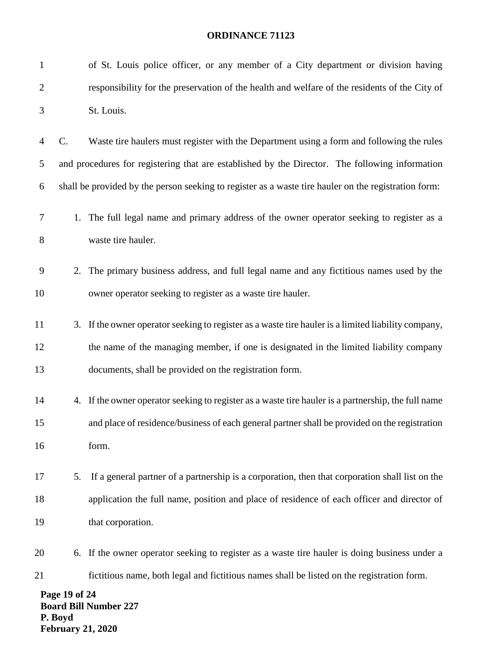| $\mathbf{1}$   |               | of St. Louis police officer, or any member of a City department or division having                   |
|----------------|---------------|------------------------------------------------------------------------------------------------------|
| $\overline{2}$ |               | responsibility for the preservation of the health and welfare of the residents of the City of        |
| 3              |               | St. Louis.                                                                                           |
| 4              | C.            | Waste tire haulers must register with the Department using a form and following the rules            |
| 5              |               | and procedures for registering that are established by the Director. The following information       |
| 6              |               | shall be provided by the person seeking to register as a waste tire hauler on the registration form: |
| 7              |               | 1. The full legal name and primary address of the owner operator seeking to register as a            |
| $8\,$          |               | waste tire hauler.                                                                                   |
| 9              |               | 2. The primary business address, and full legal name and any fictitious names used by the            |
| 10             |               | owner operator seeking to register as a waste tire hauler.                                           |
| 11             |               | 3. If the owner operator seeking to register as a waste tire hauler is a limited liability company,  |
| 12             |               | the name of the managing member, if one is designated in the limited liability company               |
| 13             |               | documents, shall be provided on the registration form.                                               |
| 14             |               | 4. If the owner operator seeking to register as a waste tire hauler is a partnership, the full name  |
| 15             |               | and place of residence/business of each general partner shall be provided on the registration        |
| 16             |               | form.                                                                                                |
| 17             | 5.            | If a general partner of a partnership is a corporation, then that corporation shall list on the      |
| 18             |               | application the full name, position and place of residence of each officer and director of           |
| 19             |               | that corporation.                                                                                    |
| 20             |               | 6. If the owner operator seeking to register as a waste tire hauler is doing business under a        |
| 21             |               | fictitious name, both legal and fictitious names shall be listed on the registration form.           |
|                | Page 19 of 24 |                                                                                                      |

**Board Bill Number 227 P. Boyd February 21, 2020**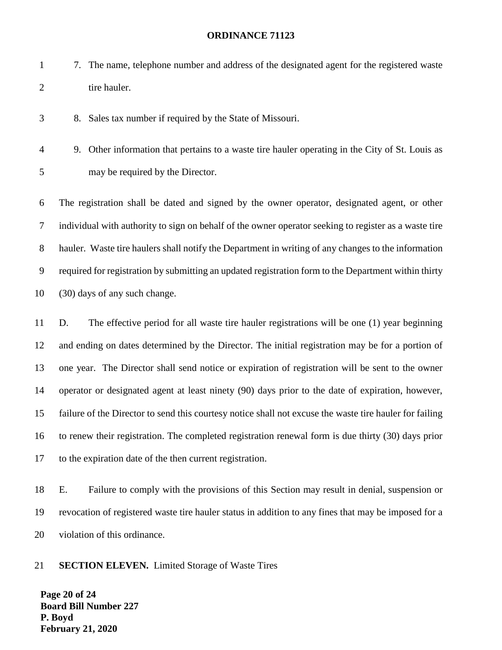- 7. The name, telephone number and address of the designated agent for the registered waste 2 tire hauler.
- 8. Sales tax number if required by the State of Missouri.
- 9. Other information that pertains to a waste tire hauler operating in the City of St. Louis as may be required by the Director.

 The registration shall be dated and signed by the owner operator, designated agent, or other individual with authority to sign on behalf of the owner operator seeking to register as a waste tire hauler. Waste tire haulers shall notify the Department in writing of any changes to the information required for registration by submitting an updated registration form to the Department within thirty (30) days of any such change.

 D. The effective period for all waste tire hauler registrations will be one (1) year beginning and ending on dates determined by the Director. The initial registration may be for a portion of one year. The Director shall send notice or expiration of registration will be sent to the owner operator or designated agent at least ninety (90) days prior to the date of expiration, however, failure of the Director to send this courtesy notice shall not excuse the waste tire hauler for failing to renew their registration. The completed registration renewal form is due thirty (30) days prior to the expiration date of the then current registration.

 E. Failure to comply with the provisions of this Section may result in denial, suspension or revocation of registered waste tire hauler status in addition to any fines that may be imposed for a violation of this ordinance.

### **SECTION ELEVEN.** Limited Storage of Waste Tires

**Page 20 of 24 Board Bill Number 227 P. Boyd February 21, 2020**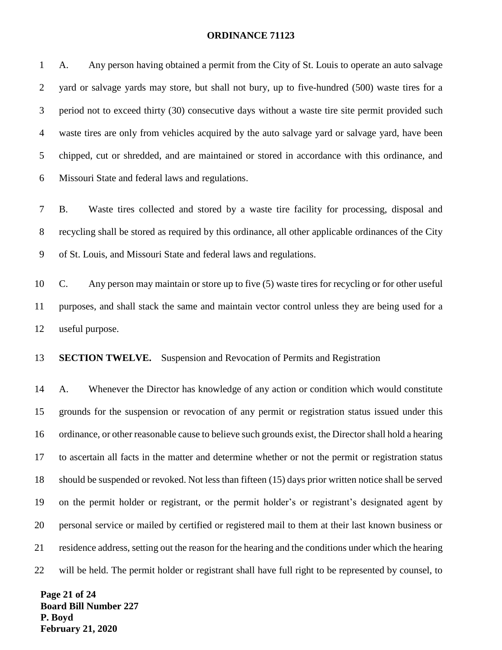A. Any person having obtained a permit from the City of St. Louis to operate an auto salvage yard or salvage yards may store, but shall not bury, up to five-hundred (500) waste tires for a period not to exceed thirty (30) consecutive days without a waste tire site permit provided such waste tires are only from vehicles acquired by the auto salvage yard or salvage yard, have been chipped, cut or shredded, and are maintained or stored in accordance with this ordinance, and Missouri State and federal laws and regulations.

 B. Waste tires collected and stored by a waste tire facility for processing, disposal and recycling shall be stored as required by this ordinance, all other applicable ordinances of the City of St. Louis, and Missouri State and federal laws and regulations.

 C. Any person may maintain or store up to five (5) waste tires for recycling or for other useful purposes, and shall stack the same and maintain vector control unless they are being used for a useful purpose.

**SECTION TWELVE.** Suspension and Revocation of Permits and Registration

 A. Whenever the Director has knowledge of any action or condition which would constitute grounds for the suspension or revocation of any permit or registration status issued under this ordinance, or other reasonable cause to believe such grounds exist, the Directorshall hold a hearing to ascertain all facts in the matter and determine whether or not the permit or registration status should be suspended or revoked. Not less than fifteen (15) days prior written notice shall be served on the permit holder or registrant, or the permit holder's or registrant's designated agent by personal service or mailed by certified or registered mail to them at their last known business or residence address, setting out the reason for the hearing and the conditions under which the hearing will be held. The permit holder or registrant shall have full right to be represented by counsel, to

**Page 21 of 24 Board Bill Number 227 P. Boyd February 21, 2020**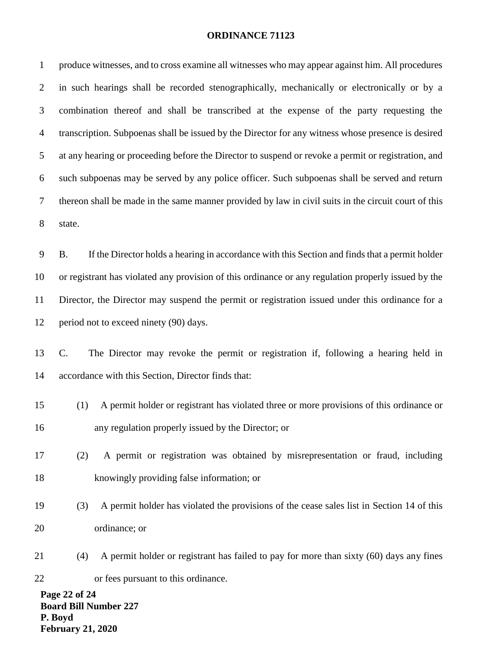produce witnesses, and to cross examine all witnesses who may appear against him. All procedures in such hearings shall be recorded stenographically, mechanically or electronically or by a combination thereof and shall be transcribed at the expense of the party requesting the transcription. Subpoenas shall be issued by the Director for any witness whose presence is desired at any hearing or proceeding before the Director to suspend or revoke a permit or registration, and such subpoenas may be served by any police officer. Such subpoenas shall be served and return thereon shall be made in the same manner provided by law in civil suits in the circuit court of this state.

 B. If the Director holds a hearing in accordance with this Section and finds that a permit holder or registrant has violated any provision of this ordinance or any regulation properly issued by the Director, the Director may suspend the permit or registration issued under this ordinance for a 12 period not to exceed ninety (90) days.

 C. The Director may revoke the permit or registration if, following a hearing held in accordance with this Section, Director finds that:

- (1) A permit holder or registrant has violated three or more provisions of this ordinance or any regulation properly issued by the Director; or
- (2) A permit or registration was obtained by misrepresentation or fraud, including knowingly providing false information; or
- (3) A permit holder has violated the provisions of the cease sales list in Section 14 of this ordinance; or
- (4) A permit holder or registrant has failed to pay for more than sixty (60) days any fines or fees pursuant to this ordinance.

**Page 22 of 24 Board Bill Number 227 P. Boyd February 21, 2020**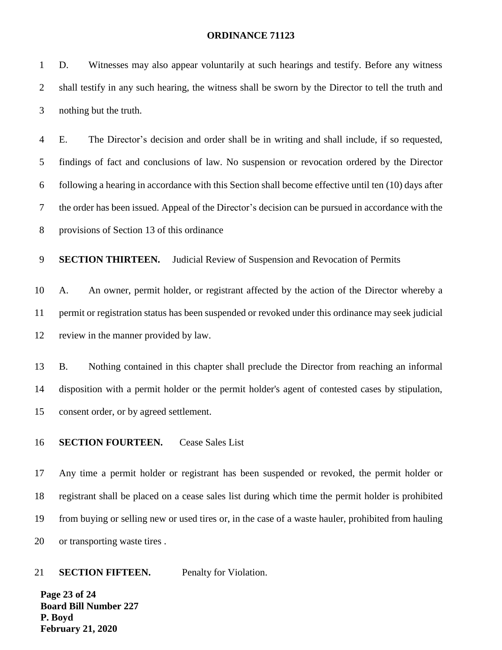D. Witnesses may also appear voluntarily at such hearings and testify. Before any witness shall testify in any such hearing, the witness shall be sworn by the Director to tell the truth and nothing but the truth.

 E. The Director's decision and order shall be in writing and shall include, if so requested, findings of fact and conclusions of law. No suspension or revocation ordered by the Director following a hearing in accordance with this Section shall become effective until ten (10) days after the order has been issued. Appeal of the Director's decision can be pursued in accordance with the provisions of Section 13 of this ordinance

**SECTION THIRTEEN.** Judicial Review of Suspension and Revocation of Permits

 A. An owner, permit holder, or registrant affected by the action of the Director whereby a permit or registration status has been suspended or revoked under this ordinance may seek judicial review in the manner provided by law.

 B. Nothing contained in this chapter shall preclude the Director from reaching an informal disposition with a permit holder or the permit holder's agent of contested cases by stipulation, consent order, or by agreed settlement.

## **SECTION FOURTEEN.** Cease Sales List

 Any time a permit holder or registrant has been suspended or revoked, the permit holder or registrant shall be placed on a cease sales list during which time the permit holder is prohibited from buying or selling new or used tires or, in the case of a waste hauler, prohibited from hauling or transporting waste tires .

#### **SECTION FIFTEEN.** Penalty for Violation.

**Page 23 of 24 Board Bill Number 227 P. Boyd February 21, 2020**